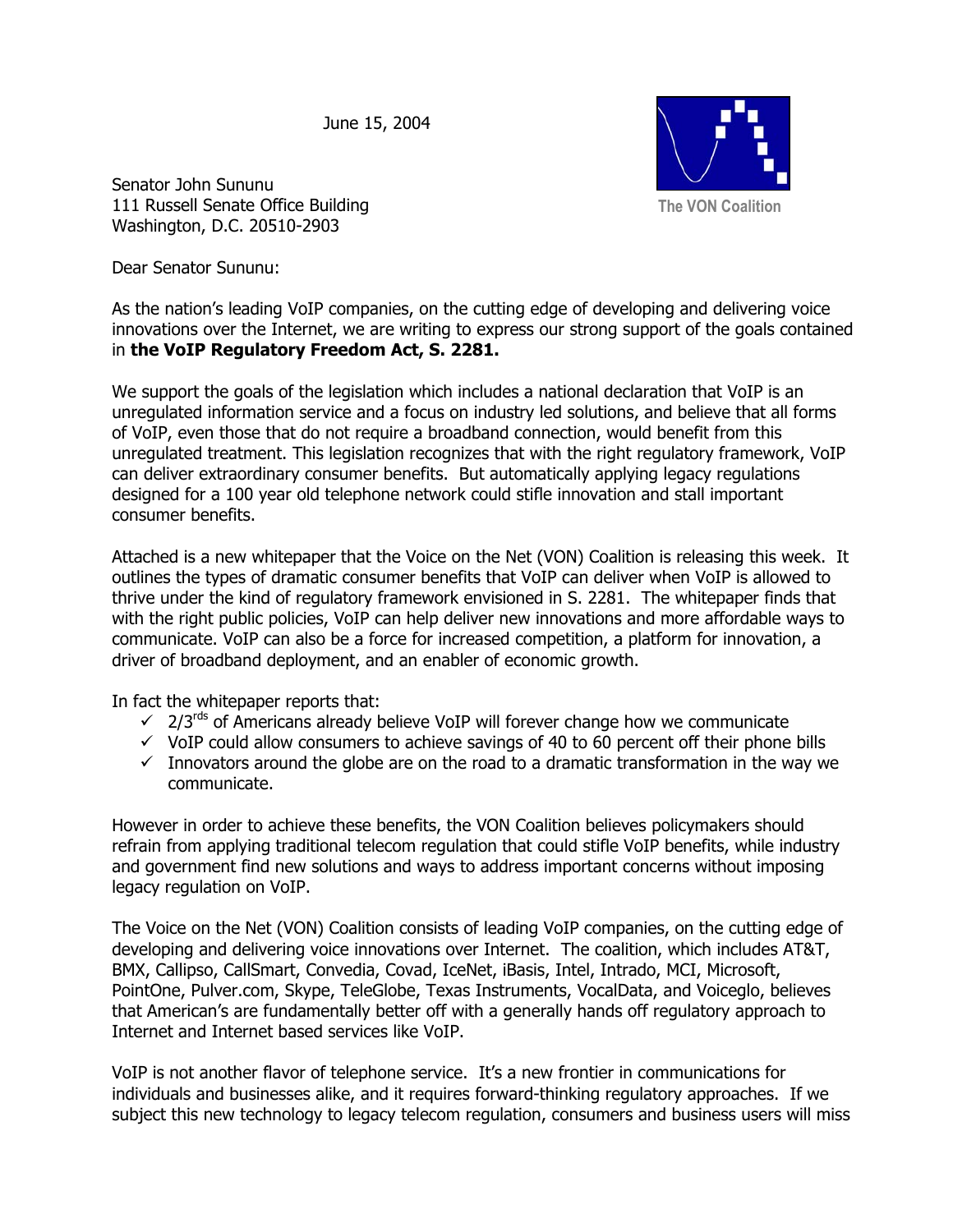June 15, 2004



Senator John Sununu 111 Russell Senate Office Building Washington, D.C. 20510-2903

Dear Senator Sununu:

As the nation's leading VoIP companies, on the cutting edge of developing and delivering voice innovations over the Internet, we are writing to express our strong support of the goals contained in **the VoIP Regulatory Freedom Act, S. 2281.** 

We support the goals of the legislation which includes a national declaration that VoIP is an unregulated information service and a focus on industry led solutions, and believe that all forms of VoIP, even those that do not require a broadband connection, would benefit from this unregulated treatment. This legislation recognizes that with the right regulatory framework, VoIP can deliver extraordinary consumer benefits. But automatically applying legacy regulations designed for a 100 year old telephone network could stifle innovation and stall important consumer benefits.

Attached is a new whitepaper that the Voice on the Net (VON) Coalition is releasing this week. It outlines the types of dramatic consumer benefits that VoIP can deliver when VoIP is allowed to thrive under the kind of regulatory framework envisioned in S. 2281. The whitepaper finds that with the right public policies, VoIP can help deliver new innovations and more affordable ways to communicate. VoIP can also be a force for increased competition, a platform for innovation, a driver of broadband deployment, and an enabler of economic growth.

In fact the whitepaper reports that:

- $\sqrt{2/3}$  2/3<sup>rds</sup> of Americans already believe VoIP will forever change how we communicate
- $\checkmark$  VoIP could allow consumers to achieve savings of 40 to 60 percent off their phone bills
- $\checkmark$  Innovators around the globe are on the road to a dramatic transformation in the way we communicate.

However in order to achieve these benefits, the VON Coalition believes policymakers should refrain from applying traditional telecom regulation that could stifle VoIP benefits, while industry and government find new solutions and ways to address important concerns without imposing legacy regulation on VoIP.

The Voice on the Net (VON) Coalition consists of leading VoIP companies, on the cutting edge of developing and delivering voice innovations over Internet. The coalition, which includes AT&T, BMX, Callipso, CallSmart, Convedia, Covad, IceNet, iBasis, Intel, Intrado, MCI, Microsoft, PointOne, Pulver.com, Skype, TeleGlobe, Texas Instruments, VocalData, and Voiceglo, believes that American's are fundamentally better off with a generally hands off regulatory approach to Internet and Internet based services like VoIP.

VoIP is not another flavor of telephone service. It's a new frontier in communications for individuals and businesses alike, and it requires forward-thinking regulatory approaches. If we subject this new technology to legacy telecom regulation, consumers and business users will miss